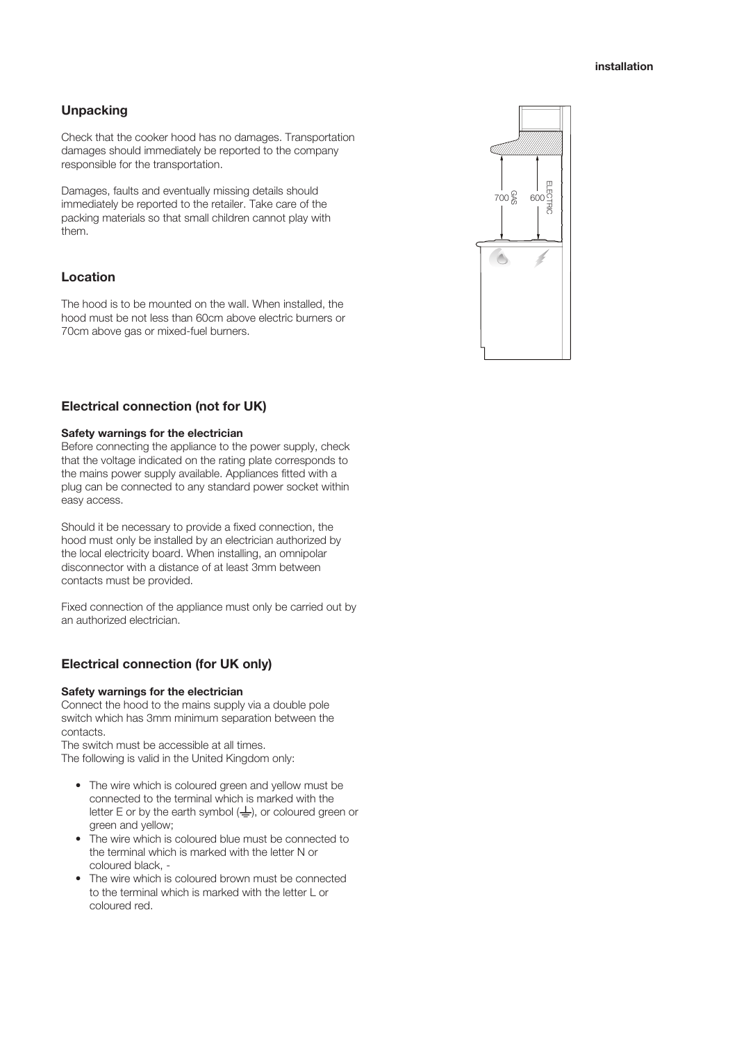## **Unpacking**

Check that the cooker hood has no damages. Transportation damages should immediately be reported to the company responsible for the transportation.

Damages, faults and eventually missing details should immediately be reported to the retailer. Take care of the packing materials so that small children cannot play with them.

### **Location**

The hood is to be mounted on the wall. When installed, the hood must be not less than 60cm above electric burners or 70cm above gas or mixed-fuel burners.

# **Electrical connection (not for UK)**

### **Safety warnings for the electrician**

Before connecting the appliance to the power supply, check that the voltage indicated on the rating plate corresponds to the mains power supply available. Appliances fitted with a plug can be connected to any standard power socket within easy access.

Should it be necessary to provide a fixed connection, the hood must only be installed by an electrician authorized by the local electricity board. When installing, an omnipolar disconnector with a distance of at least 3mm between contacts must be provided.

Fixed connection of the appliance must only be carried out by an authorized electrician.

## **Electrical connection (for UK only)**

#### **Safety warnings for the electrician**

Connect the hood to the mains supply via a double pole switch which has 3mm minimum separation between the contacts.

The switch must be accessible at all times. The following is valid in the United Kingdom only:

- The wire which is coloured green and yellow must be connected to the terminal which is marked with the letter E or by the earth symbol  $(\frac{1}{2})$ , or coloured green or green and yellow;
- The wire which is coloured blue must be connected to the terminal which is marked with the letter N or coloured black, -
- The wire which is coloured brown must be connected to the terminal which is marked with the letter L or coloured red.

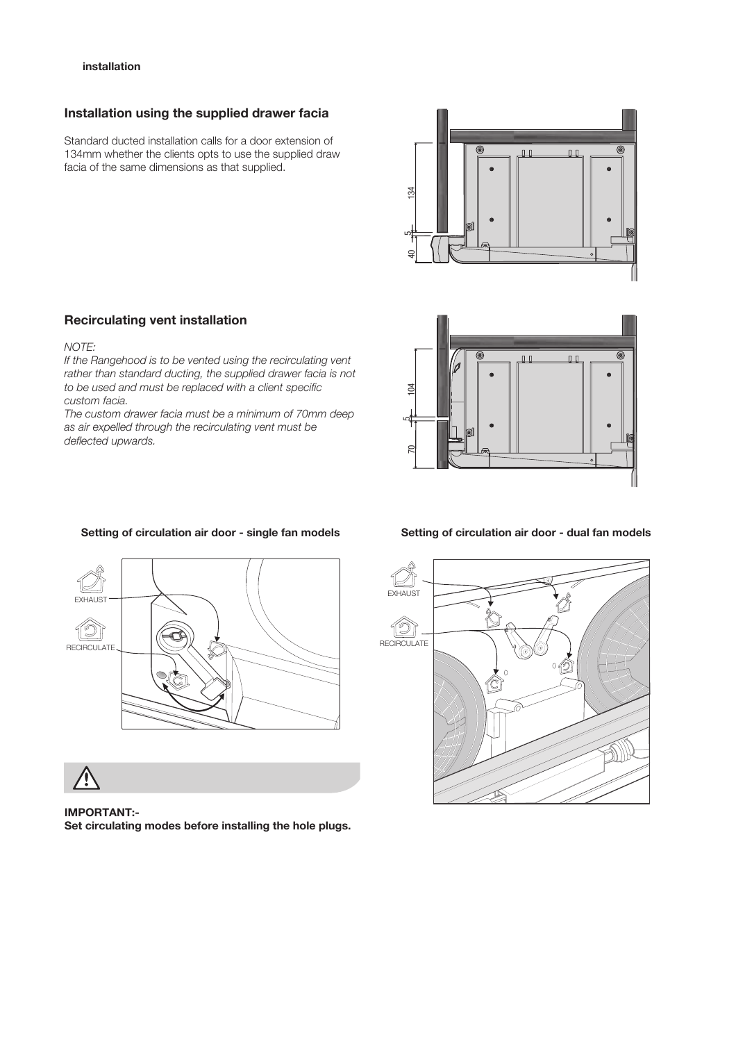#### **5 installation**

### **Installation using the supplied drawer facia**

Standard ducted installation calls for a door extension of 134mm whether the clients opts to use the supplied draw facia of the same dimensions as that supplied.

### **Recirculating vent installation**

### *NOTE:*

*If the Rangehood is to be vented using the recirculating vent rather than standard ducting, the supplied drawer facia is not to be used and must be replaced with a client specific custom facia.*

*The custom drawer facia must be a minimum of 70mm deep as air expelled through the recirculating vent must be deflected upwards.*





**IMPORTANT:- Set circulating modes before installing the hole plugs.**

#### **Setting of circulation air door - single fan models Setting of circulation air door - dual fan models**